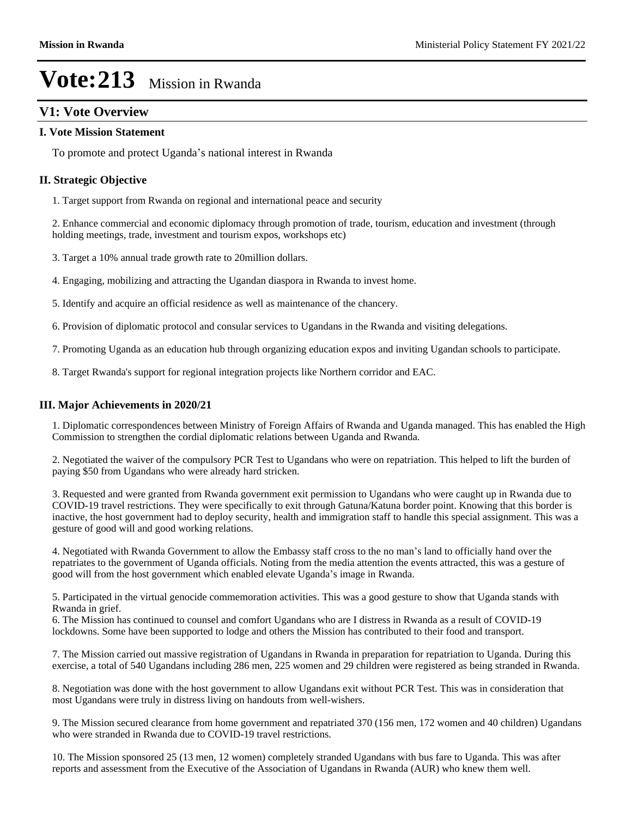# **V1: Vote Overview**

#### **I. Vote Mission Statement**

To promote and protect Uganda's national interest in Rwanda

#### **II. Strategic Objective**

1. Target support from Rwanda on regional and international peace and security

2. Enhance commercial and economic diplomacy through promotion of trade, tourism, education and investment (through holding meetings, trade, investment and tourism expos, workshops etc)

- 3. Target a 10% annual trade growth rate to 20million dollars.
- 4. Engaging, mobilizing and attracting the Ugandan diaspora in Rwanda to invest home.
- 5. Identify and acquire an official residence as well as maintenance of the chancery.
- 6. Provision of diplomatic protocol and consular services to Ugandans in the Rwanda and visiting delegations.
- 7. Promoting Uganda as an education hub through organizing education expos and inviting Ugandan schools to participate.
- 8. Target Rwanda's support for regional integration projects like Northern corridor and EAC.

#### **III. Major Achievements in 2020/21**

1. Diplomatic correspondences between Ministry of Foreign Affairs of Rwanda and Uganda managed. This has enabled the High Commission to strengthen the cordial diplomatic relations between Uganda and Rwanda.

2. Negotiated the waiver of the compulsory PCR Test to Ugandans who were on repatriation. This helped to lift the burden of paying \$50 from Ugandans who were already hard stricken.

3. Requested and were granted from Rwanda government exit permission to Ugandans who were caught up in Rwanda due to COVID-19 travel restrictions. They were specifically to exit through Gatuna/Katuna border point. Knowing that this border is inactive, the host government had to deploy security, health and immigration staff to handle this special assignment. This was a gesture of good will and good working relations.

4. Negotiated with Rwanda Government to allow the Embassy staff cross to the no man's land to officially hand over the repatriates to the government of Uganda officials. Noting from the media attention the events attracted, this was a gesture of good will from the host government which enabled elevate Uganda's image in Rwanda.

5. Participated in the virtual genocide commemoration activities. This was a good gesture to show that Uganda stands with Rwanda in grief.

6. The Mission has continued to counsel and comfort Ugandans who are I distress in Rwanda as a result of COVID-19 lockdowns. Some have been supported to lodge and others the Mission has contributed to their food and transport.

7. The Mission carried out massive registration of Ugandans in Rwanda in preparation for repatriation to Uganda. During this exercise, a total of 540 Ugandans including 286 men, 225 women and 29 children were registered as being stranded in Rwanda.

8. Negotiation was done with the host government to allow Ugandans exit without PCR Test. This was in consideration that most Ugandans were truly in distress living on handouts from well-wishers.

9. The Mission secured clearance from home government and repatriated 370 (156 men, 172 women and 40 children) Ugandans who were stranded in Rwanda due to COVID-19 travel restrictions.

10. The Mission sponsored 25 (13 men, 12 women) completely stranded Ugandans with bus fare to Uganda. This was after reports and assessment from the Executive of the Association of Ugandans in Rwanda (AUR) who knew them well.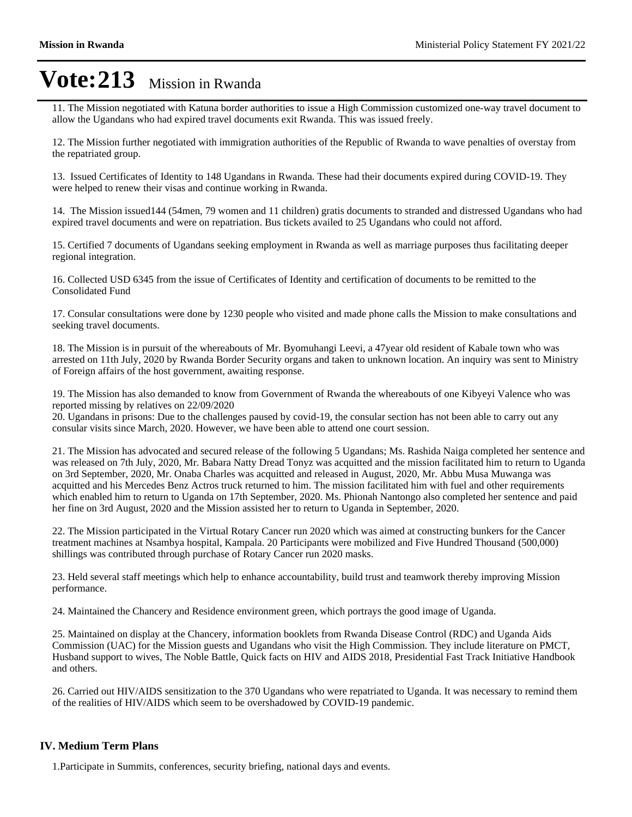11. The Mission negotiated with Katuna border authorities to issue a High Commission customized one-way travel document to allow the Ugandans who had expired travel documents exit Rwanda. This was issued freely.

12. The Mission further negotiated with immigration authorities of the Republic of Rwanda to wave penalties of overstay from the repatriated group.

13. Issued Certificates of Identity to 148 Ugandans in Rwanda. These had their documents expired during COVID-19. They were helped to renew their visas and continue working in Rwanda.

14. The Mission issued144 (54men, 79 women and 11 children) gratis documents to stranded and distressed Ugandans who had expired travel documents and were on repatriation. Bus tickets availed to 25 Ugandans who could not afford.

15. Certified 7 documents of Ugandans seeking employment in Rwanda as well as marriage purposes thus facilitating deeper regional integration.

16. Collected USD 6345 from the issue of Certificates of Identity and certification of documents to be remitted to the Consolidated Fund

17. Consular consultations were done by 1230 people who visited and made phone calls the Mission to make consultations and seeking travel documents.

18. The Mission is in pursuit of the whereabouts of Mr. Byomuhangi Leevi, a 47year old resident of Kabale town who was arrested on 11th July, 2020 by Rwanda Border Security organs and taken to unknown location. An inquiry was sent to Ministry of Foreign affairs of the host government, awaiting response.

19. The Mission has also demanded to know from Government of Rwanda the whereabouts of one Kibyeyi Valence who was reported missing by relatives on 22/09/2020

20. Ugandans in prisons: Due to the challenges paused by covid-19, the consular section has not been able to carry out any consular visits since March, 2020. However, we have been able to attend one court session.

21. The Mission has advocated and secured release of the following 5 Ugandans; Ms. Rashida Naiga completed her sentence and was released on 7th July, 2020, Mr. Babara Natty Dread Tonyz was acquitted and the mission facilitated him to return to Uganda on 3rd September, 2020, Mr. Onaba Charles was acquitted and released in August, 2020, Mr. Abbu Musa Muwanga was acquitted and his Mercedes Benz Actros truck returned to him. The mission facilitated him with fuel and other requirements which enabled him to return to Uganda on 17th September, 2020. Ms. Phionah Nantongo also completed her sentence and paid her fine on 3rd August, 2020 and the Mission assisted her to return to Uganda in September, 2020.

22. The Mission participated in the Virtual Rotary Cancer run 2020 which was aimed at constructing bunkers for the Cancer treatment machines at Nsambya hospital, Kampala. 20 Participants were mobilized and Five Hundred Thousand (500,000) shillings was contributed through purchase of Rotary Cancer run 2020 masks.

23. Held several staff meetings which help to enhance accountability, build trust and teamwork thereby improving Mission performance.

24. Maintained the Chancery and Residence environment green, which portrays the good image of Uganda.

25. Maintained on display at the Chancery, information booklets from Rwanda Disease Control (RDC) and Uganda Aids Commission (UAC) for the Mission guests and Ugandans who visit the High Commission. They include literature on PMCT, Husband support to wives, The Noble Battle, Quick facts on HIV and AIDS 2018, Presidential Fast Track Initiative Handbook and others.

26. Carried out HIV/AIDS sensitization to the 370 Ugandans who were repatriated to Uganda. It was necessary to remind them of the realities of HIV/AIDS which seem to be overshadowed by COVID-19 pandemic.

#### **IV. Medium Term Plans**

1.Participate in Summits, conferences, security briefing, national days and events.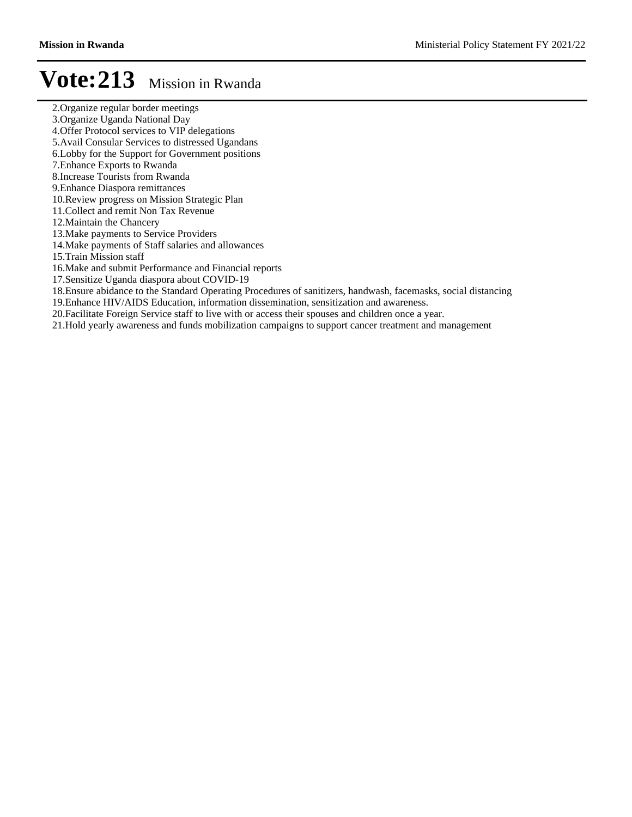- 2.Organize regular border meetings
- 3.Organize Uganda National Day
- 4.Offer Protocol services to VIP delegations
- 5.Avail Consular Services to distressed Ugandans
- 6.Lobby for the Support for Government positions
- 7.Enhance Exports to Rwanda
- 8.Increase Tourists from Rwanda
- 9.Enhance Diaspora remittances
- 10.Review progress on Mission Strategic Plan
- 11.Collect and remit Non Tax Revenue
- 12.Maintain the Chancery
- 13.Make payments to Service Providers
- 14.Make payments of Staff salaries and allowances
- 15.Train Mission staff
- 16.Make and submit Performance and Financial reports
- 17.Sensitize Uganda diaspora about COVID-19
- 18.Ensure abidance to the Standard Operating Procedures of sanitizers, handwash, facemasks, social distancing
- 19.Enhance HIV/AIDS Education, information dissemination, sensitization and awareness.
- 20.Facilitate Foreign Service staff to live with or access their spouses and children once a year.
- 21.Hold yearly awareness and funds mobilization campaigns to support cancer treatment and management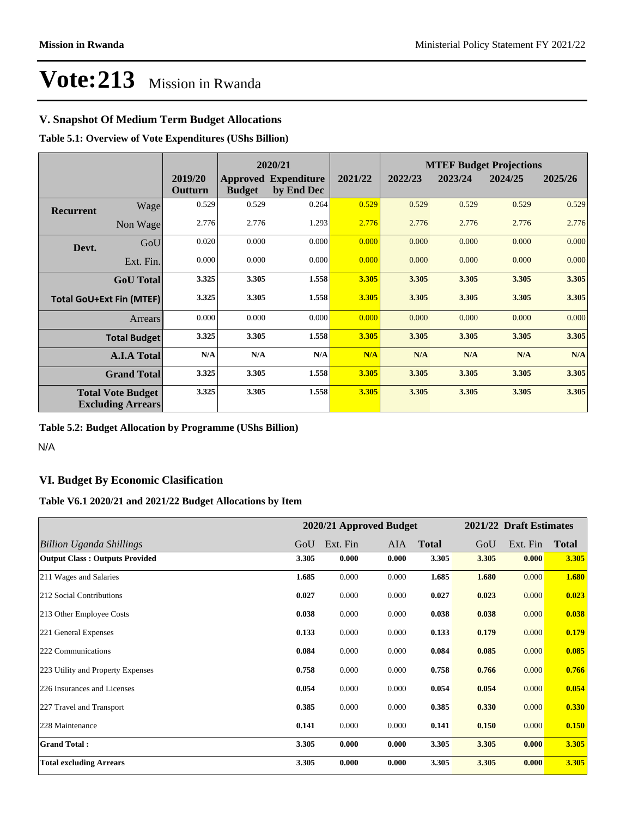## **V. Snapshot Of Medium Term Budget Allocations**

**Table 5.1: Overview of Vote Expenditures (UShs Billion)**

|                                                      |                    | 2020/21            |               |                                           | <b>MTEF Budget Projections</b> |         |         |         |         |
|------------------------------------------------------|--------------------|--------------------|---------------|-------------------------------------------|--------------------------------|---------|---------|---------|---------|
|                                                      |                    | 2019/20<br>Outturn | <b>Budget</b> | <b>Approved Expenditure</b><br>by End Dec | 2021/22                        | 2022/23 | 2023/24 | 2024/25 | 2025/26 |
| <b>Recurrent</b>                                     | Wage               | 0.529              | 0.529         | 0.264                                     | 0.529                          | 0.529   | 0.529   | 0.529   | 0.529   |
|                                                      | Non Wage           | 2.776              | 2.776         | 1.293                                     | 2.776                          | 2.776   | 2.776   | 2.776   | 2.776   |
| Devt.                                                | GoU                | 0.020              | 0.000         | 0.000                                     | 0.000                          | 0.000   | 0.000   | 0.000   | 0.000   |
|                                                      | Ext. Fin.          | 0.000              | 0.000         | 0.000                                     | 0.000                          | 0.000   | 0.000   | 0.000   | 0.000   |
|                                                      | <b>GoU</b> Total   | 3.325              | 3.305         | 1.558                                     | 3.305                          | 3.305   | 3.305   | 3.305   | 3.305   |
| <b>Total GoU+Ext Fin (MTEF)</b>                      |                    | 3.325              | 3.305         | 1.558                                     | 3.305                          | 3.305   | 3.305   | 3.305   | 3.305   |
| <b>Arrears</b>                                       |                    | 0.000              | 0.000         | 0.000                                     | 0.000                          | 0.000   | 0.000   | 0.000   | 0.000   |
| <b>Total Budget</b>                                  |                    | 3.325              | 3.305         | 1.558                                     | 3.305                          | 3.305   | 3.305   | 3.305   | 3.305   |
|                                                      | <b>A.I.A Total</b> | N/A                | N/A           | N/A                                       | N/A                            | N/A     | N/A     | N/A     | N/A     |
| <b>Grand Total</b>                                   |                    | 3.325              | 3.305         | 1.558                                     | 3.305                          | 3.305   | 3.305   | 3.305   | 3.305   |
| <b>Total Vote Budget</b><br><b>Excluding Arrears</b> |                    | 3.325              | 3.305         | 1.558                                     | 3.305                          | 3.305   | 3.305   | 3.305   | 3.305   |

#### **Table 5.2: Budget Allocation by Programme (UShs Billion)**

N/A

## **VI. Budget By Economic Clasification**

#### **Table V6.1 2020/21 and 2021/22 Budget Allocations by Item**

|                                       |       | 2020/21 Approved Budget |       |              |       | 2021/22 Draft Estimates |              |
|---------------------------------------|-------|-------------------------|-------|--------------|-------|-------------------------|--------------|
| Billion Uganda Shillings              | GoU   | Ext. Fin                | AIA   | <b>Total</b> | GoU   | Ext. Fin                | <b>Total</b> |
| <b>Output Class: Outputs Provided</b> | 3.305 | 0.000                   | 0.000 | 3.305        | 3.305 | 0.000                   | 3.305        |
| 211 Wages and Salaries                | 1.685 | 0.000                   | 0.000 | 1.685        | 1.680 | 0.000                   | 1.680        |
| 212 Social Contributions              | 0.027 | 0.000                   | 0.000 | 0.027        | 0.023 | 0.000                   | 0.023        |
| 213 Other Employee Costs              | 0.038 | 0.000                   | 0.000 | 0.038        | 0.038 | 0.000                   | 0.038        |
| 221 General Expenses                  | 0.133 | 0.000                   | 0.000 | 0.133        | 0.179 | 0.000                   | 0.179        |
| 222 Communications                    | 0.084 | 0.000                   | 0.000 | 0.084        | 0.085 | 0.000                   | 0.085        |
| 223 Utility and Property Expenses     | 0.758 | 0.000                   | 0.000 | 0.758        | 0.766 | 0.000                   | 0.766        |
| 226 Insurances and Licenses           | 0.054 | 0.000                   | 0.000 | 0.054        | 0.054 | 0.000                   | 0.054        |
| 227 Travel and Transport              | 0.385 | 0.000                   | 0.000 | 0.385        | 0.330 | 0.000                   | 0.330        |
| 228 Maintenance                       | 0.141 | 0.000                   | 0.000 | 0.141        | 0.150 | 0.000                   | 0.150        |
| <b>Grand Total:</b>                   | 3.305 | 0.000                   | 0.000 | 3.305        | 3.305 | 0.000                   | 3.305        |
| <b>Total excluding Arrears</b>        | 3.305 | 0.000                   | 0.000 | 3.305        | 3.305 | 0.000                   | 3.305        |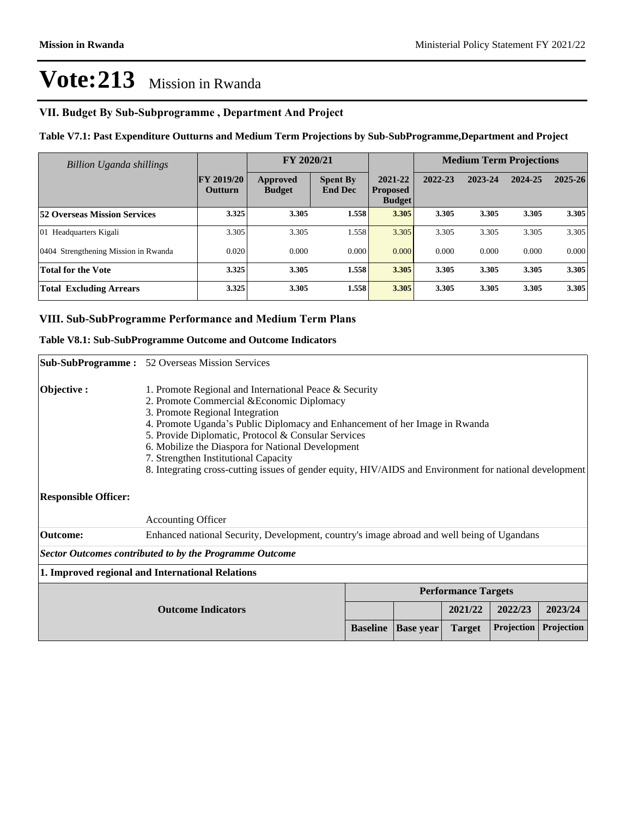### VII. Budget By Sub-Subprogramme, Department And Project

#### **Table V7.1: Past Expenditure Outturns and Medium Term Projections by Sub-SubProgramme,Department and Project**

| Billion Uganda shillings             |                                     | FY 2020/21                       |                                   |                                             |         | <b>Medium Term Projections</b> |         |             |
|--------------------------------------|-------------------------------------|----------------------------------|-----------------------------------|---------------------------------------------|---------|--------------------------------|---------|-------------|
|                                      | <b>FY 2019/20</b><br><b>Outturn</b> | <b>Approved</b><br><b>Budget</b> | <b>Spent By</b><br><b>End Dec</b> | 2021-22<br><b>Proposed</b><br><b>Budget</b> | 2022-23 | 2023-24                        | 2024-25 | $2025 - 26$ |
| <b>52 Overseas Mission Services</b>  | 3.325                               | 3.305                            | 1.558                             | 3.305                                       | 3.305   | 3.305                          | 3.305   | 3.305       |
| 01 Headquarters Kigali               | 3.305                               | 3.305                            | 1.558                             | 3.305                                       | 3.305   | 3.305                          | 3.305   | 3.305       |
| 0404 Strengthening Mission in Rwanda | 0.020                               | 0.000                            | 0.000                             | 0.000                                       | 0.000   | 0.000                          | 0.000   | 0.000       |
| <b>Total for the Vote</b>            | 3.325                               | 3.305                            | 1.558                             | 3.305                                       | 3.305   | 3.305                          | 3.305   | 3.305       |
| <b>Total Excluding Arrears</b>       | 3.325                               | 3.305                            | 1.558                             | 3.305                                       | 3.305   | 3.305                          | 3.305   | 3.305       |

#### **VIII. Sub-SubProgramme Performance and Medium Term Plans**

#### **Table V8.1: Sub-SubProgramme Outcome and Outcome Indicators**

|                                                                                                                                                                                                                                                                                                                                                                                                                                                                                                     | <b>Sub-SubProgramme:</b> 52 Overseas Mission Services                                      |                 |                  |                            |            |            |
|-----------------------------------------------------------------------------------------------------------------------------------------------------------------------------------------------------------------------------------------------------------------------------------------------------------------------------------------------------------------------------------------------------------------------------------------------------------------------------------------------------|--------------------------------------------------------------------------------------------|-----------------|------------------|----------------------------|------------|------------|
| Objective:<br>1. Promote Regional and International Peace & Security<br>2. Promote Commercial & Economic Diplomacy<br>3. Promote Regional Integration<br>4. Promote Uganda's Public Diplomacy and Enhancement of her Image in Rwanda<br>5. Provide Diplomatic, Protocol & Consular Services<br>6. Mobilize the Diaspora for National Development<br>7. Strengthen Institutional Capacity<br>8. Integrating cross-cutting issues of gender equity, HIV/AIDS and Environment for national development |                                                                                            |                 |                  |                            |            |            |
| <b>Responsible Officer:</b>                                                                                                                                                                                                                                                                                                                                                                                                                                                                         |                                                                                            |                 |                  |                            |            |            |
|                                                                                                                                                                                                                                                                                                                                                                                                                                                                                                     | <b>Accounting Officer</b>                                                                  |                 |                  |                            |            |            |
| <b>Outcome:</b>                                                                                                                                                                                                                                                                                                                                                                                                                                                                                     | Enhanced national Security, Development, country's image abroad and well being of Ugandans |                 |                  |                            |            |            |
|                                                                                                                                                                                                                                                                                                                                                                                                                                                                                                     | <b>Sector Outcomes contributed to by the Programme Outcome</b>                             |                 |                  |                            |            |            |
|                                                                                                                                                                                                                                                                                                                                                                                                                                                                                                     | 1. Improved regional and International Relations                                           |                 |                  |                            |            |            |
|                                                                                                                                                                                                                                                                                                                                                                                                                                                                                                     |                                                                                            |                 |                  | <b>Performance Targets</b> |            |            |
|                                                                                                                                                                                                                                                                                                                                                                                                                                                                                                     |                                                                                            |                 | 2021/22          | 2022/23                    | 2023/24    |            |
|                                                                                                                                                                                                                                                                                                                                                                                                                                                                                                     |                                                                                            | <b>Baseline</b> | <b>Base year</b> | <b>Target</b>              | Projection | Projection |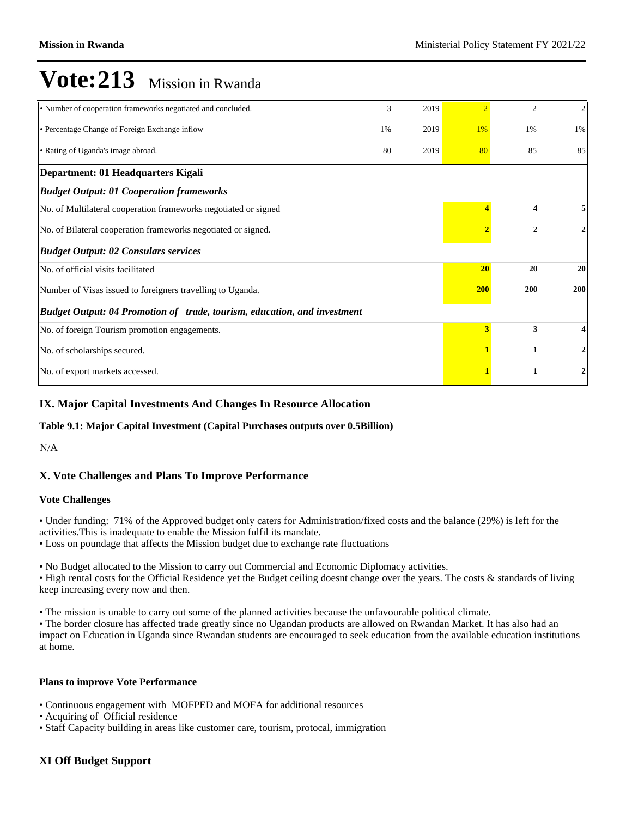| • Number of cooperation frameworks negotiated and concluded.             | 3 | 2019 | $\mathcal{D}$ | $\overline{c}$          | $\mathfrak{2}$   |
|--------------------------------------------------------------------------|---|------|---------------|-------------------------|------------------|
| • Percentage Change of Foreign Exchange inflow<br>1%                     |   | 2019 | 1%            | 1%                      | 1%               |
| • Rating of Uganda's image abroad.<br>2019<br>80                         |   | 80   | 85            | 85                      |                  |
| Department: 01 Headquarters Kigali                                       |   |      |               |                         |                  |
| <b>Budget Output: 01 Cooperation frameworks</b>                          |   |      |               |                         |                  |
| No. of Multilateral cooperation frameworks negotiated or signed          |   |      |               | $\overline{\mathbf{4}}$ | 5                |
| No. of Bilateral cooperation frameworks negotiated or signed.            |   |      |               | $\mathbf{2}$            | $\mathbf{2}$     |
| <b>Budget Output: 02 Consulars services</b>                              |   |      |               |                         |                  |
| No. of official visits facilitated                                       |   |      | 20            | 20                      | 20               |
| Number of Visas issued to foreigners travelling to Uganda.               |   |      | <b>200</b>    | 200                     | 200              |
| Budget Output: 04 Promotion of trade, tourism, education, and investment |   |      |               |                         |                  |
| No. of foreign Tourism promotion engagements.                            |   |      | 3             | 3                       | 4                |
| No. of scholarships secured.                                             |   |      |               | 1                       | 2                |
| No. of export markets accessed.                                          |   |      |               | 1                       | $\boldsymbol{2}$ |

### **IX. Major Capital Investments And Changes In Resource Allocation**

#### **Table 9.1: Major Capital Investment (Capital Purchases outputs over 0.5Billion)**

N/A

#### **X. Vote Challenges and Plans To Improve Performance**

#### **Vote Challenges**

Under funding: 71% of the Approved budget only caters for Administration/fixed costs and the balance (29%) is left for the activities.This is inadequate to enable the Mission fulfil its mandate.

Loss on poundage that affects the Mission budget due to exchange rate fluctuations

No Budget allocated to the Mission to carry out Commercial and Economic Diplomacy activities.

• High rental costs for the Official Residence yet the Budget ceiling doesnt change over the years. The costs & standards of living keep increasing every now and then.

The mission is unable to carry out some of the planned activities because the unfavourable political climate.

The border closure has affected trade greatly since no Ugandan products are allowed on Rwandan Market. It has also had an impact on Education in Uganda since Rwandan students are encouraged to seek education from the available education institutions at home.

#### **Plans to improve Vote Performance**

- Continuous engagement with MOFPED and MOFA for additional resources
- Acquiring of Official residence
- Staff Capacity building in areas like customer care, tourism, protocal, immigration

## **XI Off Budget Support**